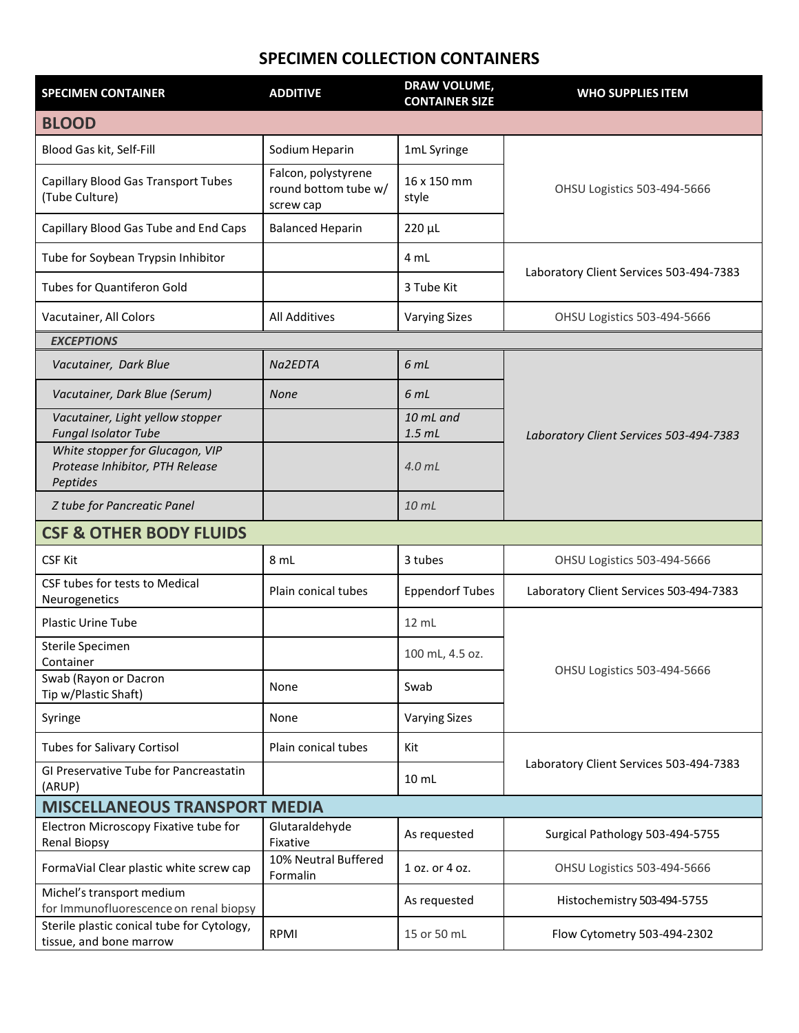## **SPECIMEN COLLECTION CONTAINERS**

| <b>SPECIMEN CONTAINER</b>                                                      | <b>ADDITIVE</b>                                          | DRAW VOLUME,<br><b>CONTAINER SIZE</b> | <b>WHO SUPPLIES ITEM</b>                |  |  |
|--------------------------------------------------------------------------------|----------------------------------------------------------|---------------------------------------|-----------------------------------------|--|--|
| <b>BLOOD</b>                                                                   |                                                          |                                       |                                         |  |  |
| Blood Gas kit, Self-Fill                                                       | Sodium Heparin                                           | 1mL Syringe                           | OHSU Logistics 503-494-5666             |  |  |
| Capillary Blood Gas Transport Tubes<br>(Tube Culture)                          | Falcon, polystyrene<br>round bottom tube w/<br>screw cap | 16 x 150 mm<br>style                  |                                         |  |  |
| Capillary Blood Gas Tube and End Caps                                          | <b>Balanced Heparin</b>                                  | $220 \mu L$                           |                                         |  |  |
| Tube for Soybean Trypsin Inhibitor                                             |                                                          | 4 mL                                  | Laboratory Client Services 503-494-7383 |  |  |
| <b>Tubes for Quantiferon Gold</b>                                              |                                                          | 3 Tube Kit                            |                                         |  |  |
| Vacutainer, All Colors                                                         | <b>All Additives</b>                                     | <b>Varying Sizes</b>                  | OHSU Logistics 503-494-5666             |  |  |
| <b>EXCEPTIONS</b>                                                              |                                                          |                                       |                                         |  |  |
| Vacutainer, Dark Blue                                                          | Na2EDTA                                                  | 6 mL                                  | Laboratory Client Services 503-494-7383 |  |  |
| Vacutainer, Dark Blue (Serum)                                                  | <b>None</b>                                              | 6 mL                                  |                                         |  |  |
| Vacutainer, Light yellow stopper<br><b>Fungal Isolator Tube</b>                |                                                          | 10 mL and<br>$1.5$ mL                 |                                         |  |  |
| White stopper for Glucagon, VIP<br>Protease Inhibitor, PTH Release<br>Peptides |                                                          | 4.0 <sub>mL</sub>                     |                                         |  |  |
| Z tube for Pancreatic Panel                                                    |                                                          | 10 mL                                 |                                         |  |  |
| <b>CSF &amp; OTHER BODY FLUIDS</b>                                             |                                                          |                                       |                                         |  |  |
| <b>CSF Kit</b>                                                                 | 8 mL                                                     | 3 tubes                               | OHSU Logistics 503-494-5666             |  |  |
| CSF tubes for tests to Medical<br>Neurogenetics                                | Plain conical tubes                                      | <b>Eppendorf Tubes</b>                | Laboratory Client Services 503-494-7383 |  |  |
| <b>Plastic Urine Tube</b>                                                      |                                                          | 12 mL                                 | OHSU Logistics 503-494-5666             |  |  |
| Sterile Specimen<br>Container                                                  |                                                          | 100 mL, 4.5 oz.                       |                                         |  |  |
| Swab (Rayon or Dacron<br>Tip w/Plastic Shaft)                                  | None                                                     | Swab                                  |                                         |  |  |
| Syringe                                                                        | None                                                     | <b>Varying Sizes</b>                  |                                         |  |  |
| <b>Tubes for Salivary Cortisol</b>                                             | Plain conical tubes                                      | Kit                                   | Laboratory Client Services 503-494-7383 |  |  |
| GI Preservative Tube for Pancreastatin<br>(ARUP)                               |                                                          | $10 \mathrm{m}$ L                     |                                         |  |  |
| <b>MISCELLANEOUS TRANSPORT MEDIA</b>                                           |                                                          |                                       |                                         |  |  |
| Electron Microscopy Fixative tube for<br><b>Renal Biopsy</b>                   | Glutaraldehyde<br>Fixative                               | As requested                          | Surgical Pathology 503-494-5755         |  |  |
| FormaVial Clear plastic white screw cap                                        | 10% Neutral Buffered<br>Formalin                         | 1 oz. or 4 oz.                        | <b>OHSU Logistics 503-494-5666</b>      |  |  |
| Michel's transport medium<br>for Immunofluorescence on renal biopsy            |                                                          | As requested                          | Histochemistry 503-494-5755             |  |  |
| Sterile plastic conical tube for Cytology,<br>tissue, and bone marrow          | RPMI                                                     | 15 or 50 mL                           | Flow Cytometry 503-494-2302             |  |  |